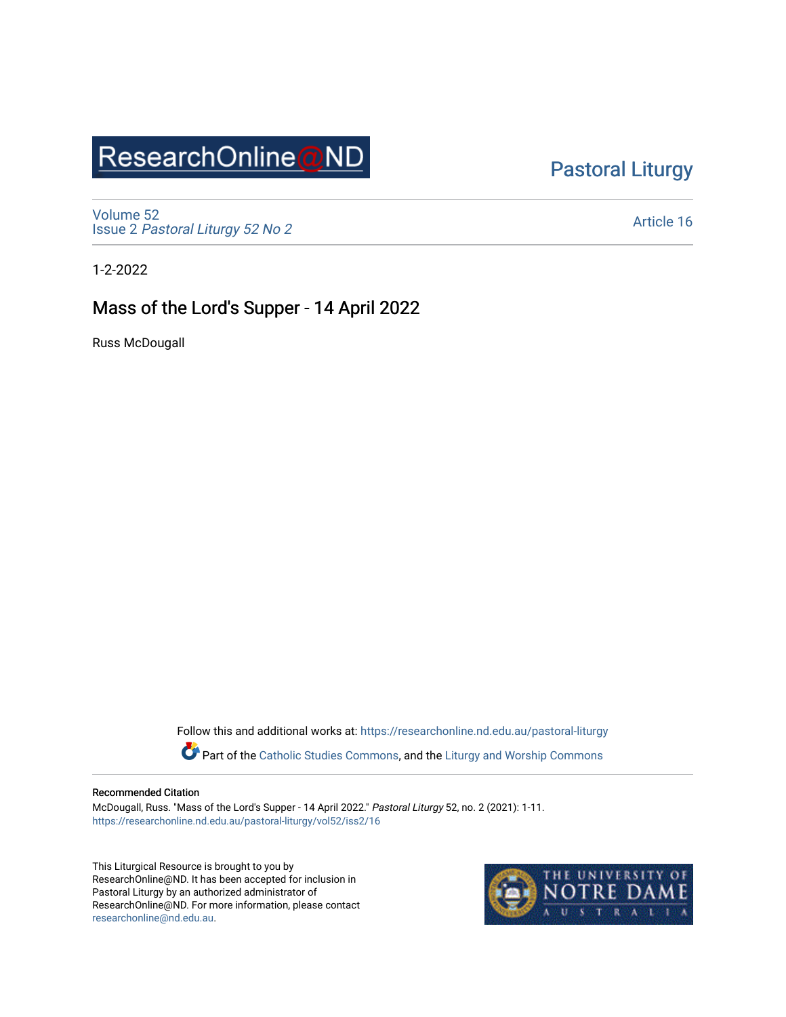# ResearchOnline@ND

### [Pastoral Liturgy](https://researchonline.nd.edu.au/pastoral-liturgy)

[Volume 52](https://researchonline.nd.edu.au/pastoral-liturgy/vol52) Issue 2 [Pastoral Liturgy 52 No 2](https://researchonline.nd.edu.au/pastoral-liturgy/vol52/iss2)

[Article 16](https://researchonline.nd.edu.au/pastoral-liturgy/vol52/iss2/16) 

1-2-2022

### Mass of the Lord's Supper - 14 April 2022

Russ McDougall

Follow this and additional works at: [https://researchonline.nd.edu.au/pastoral-liturgy](https://researchonline.nd.edu.au/pastoral-liturgy?utm_source=researchonline.nd.edu.au%2Fpastoral-liturgy%2Fvol52%2Fiss2%2F16&utm_medium=PDF&utm_campaign=PDFCoverPages)

Part of the [Catholic Studies Commons,](http://network.bepress.com/hgg/discipline/1294?utm_source=researchonline.nd.edu.au%2Fpastoral-liturgy%2Fvol52%2Fiss2%2F16&utm_medium=PDF&utm_campaign=PDFCoverPages) and the Liturgy and Worship Commons

#### Recommended Citation

McDougall, Russ. "Mass of the Lord's Supper - 14 April 2022." Pastoral Liturgy 52, no. 2 (2021): 1-11. [https://researchonline.nd.edu.au/pastoral-liturgy/vol52/iss2/16](https://researchonline.nd.edu.au/pastoral-liturgy/vol52/iss2/16?utm_source=researchonline.nd.edu.au%2Fpastoral-liturgy%2Fvol52%2Fiss2%2F16&utm_medium=PDF&utm_campaign=PDFCoverPages)

This Liturgical Resource is brought to you by ResearchOnline@ND. It has been accepted for inclusion in Pastoral Liturgy by an authorized administrator of ResearchOnline@ND. For more information, please contact [researchonline@nd.edu.au.](mailto:researchonline@nd.edu.au)

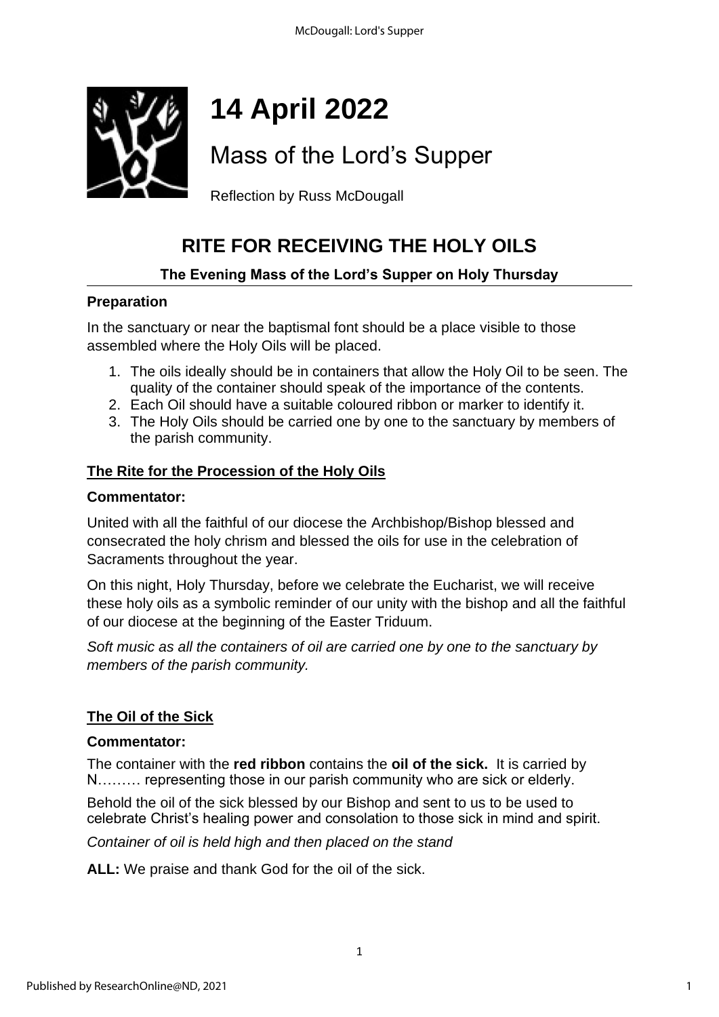

# **14 April 2022**

## Mass of the Lord's Supper

Reflection by Russ McDougall

### **RITE FOR RECEIVING THE HOLY OILS**

### **The Evening Mass of the Lord's Supper on Holy Thursday**

### **Preparation**

In the sanctuary or near the baptismal font should be a place visible to those assembled where the Holy Oils will be placed.

- 1. The oils ideally should be in containers that allow the Holy Oil to be seen. The quality of the container should speak of the importance of the contents.
- 2. Each Oil should have a suitable coloured ribbon or marker to identify it.
- 3. The Holy Oils should be carried one by one to the sanctuary by members of the parish community.

### **The Rite for the Procession of the Holy Oils**

### **Commentator:**

United with all the faithful of our diocese the Archbishop/Bishop blessed and consecrated the holy chrism and blessed the oils for use in the celebration of Sacraments throughout the year.

On this night, Holy Thursday, before we celebrate the Eucharist, we will receive these holy oils as a symbolic reminder of our unity with the bishop and all the faithful of our diocese at the beginning of the Easter Triduum.

*Soft music as all the containers of oil are carried one by one to the sanctuary by members of the parish community.* 

### **The Oil of the Sick**

### **Commentator:**

The container with the **red ribbon** contains the **oil of the sick.** It is carried by N……… representing those in our parish community who are sick or elderly.

Behold the oil of the sick blessed by our Bishop and sent to us to be used to celebrate Christ's healing power and consolation to those sick in mind and spirit.

*Container of oil is held high and then placed on the stand* 

**ALL:** We praise and thank God for the oil of the sick.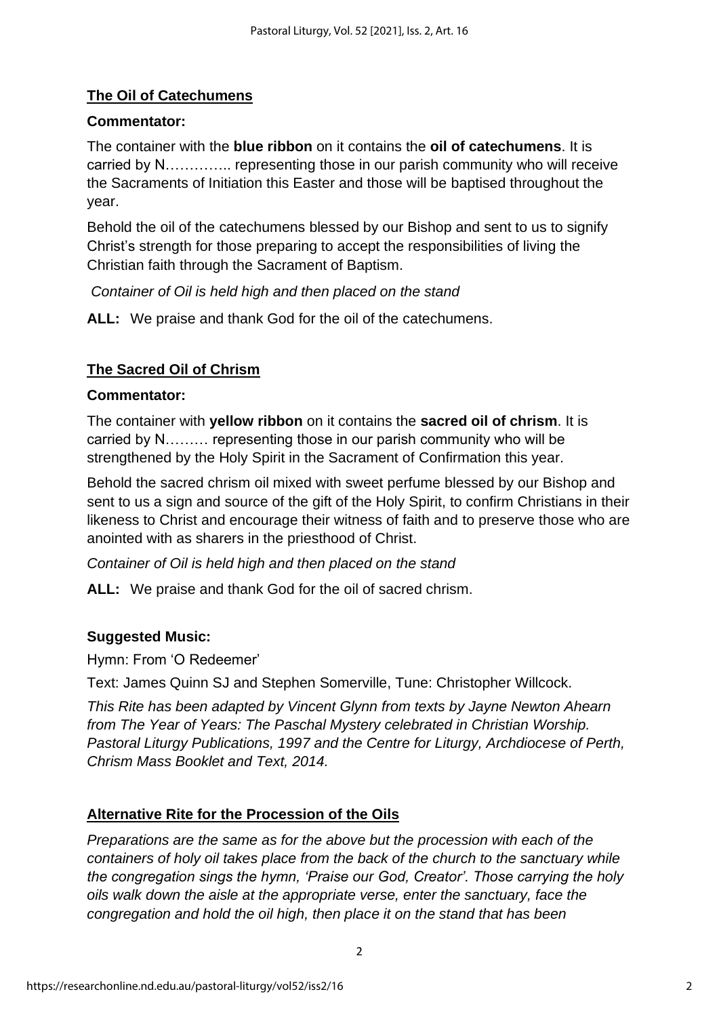### **The Oil of Catechumens**

### **Commentator:**

The container with the **blue ribbon** on it contains the **oil of catechumens**. It is carried by N………….. representing those in our parish community who will receive the Sacraments of Initiation this Easter and those will be baptised throughout the year.

Behold the oil of the catechumens blessed by our Bishop and sent to us to signify Christ's strength for those preparing to accept the responsibilities of living the Christian faith through the Sacrament of Baptism.

*Container of Oil is held high and then placed on the stand* 

**ALL:** We praise and thank God for the oil of the catechumens.

### **The Sacred Oil of Chrism**

### **Commentator:**

The container with **yellow ribbon** on it contains the **sacred oil of chrism**. It is carried by N……… representing those in our parish community who will be strengthened by the Holy Spirit in the Sacrament of Confirmation this year.

Behold the sacred chrism oil mixed with sweet perfume blessed by our Bishop and sent to us a sign and source of the gift of the Holy Spirit, to confirm Christians in their likeness to Christ and encourage their witness of faith and to preserve those who are anointed with as sharers in the priesthood of Christ.

*Container of Oil is held high and then placed on the stand*

**ALL:** We praise and thank God for the oil of sacred chrism.

### **Suggested Music:**

Hymn: From 'O Redeemer'

Text: James Quinn SJ and Stephen Somerville, Tune: Christopher Willcock.

*This Rite has been adapted by Vincent Glynn from texts by Jayne Newton Ahearn from The Year of Years: The Paschal Mystery celebrated in Christian Worship. Pastoral Liturgy Publications, 1997 and the Centre for Liturgy, Archdiocese of Perth, Chrism Mass Booklet and Text, 2014.*

### **Alternative Rite for the Procession of the Oils**

*Preparations are the same as for the above but the procession with each of the containers of holy oil takes place from the back of the church to the sanctuary while the congregation sings the hymn, 'Praise our God, Creator'. Those carrying the holy oils walk down the aisle at the appropriate verse, enter the sanctuary, face the congregation and hold the oil high, then place it on the stand that has been*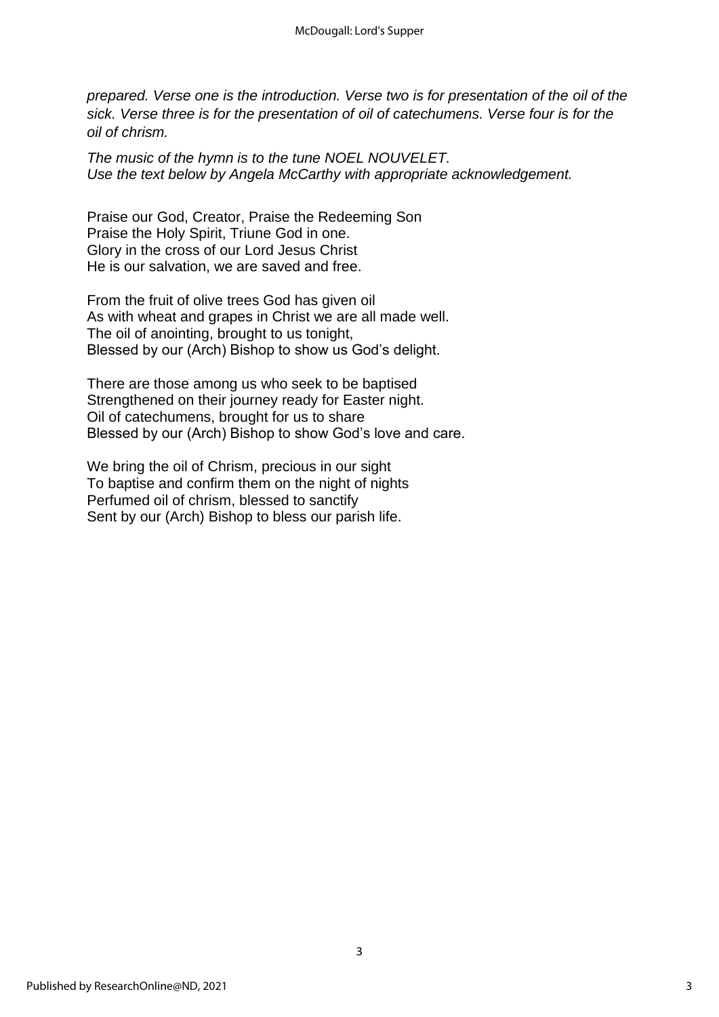*prepared. Verse one is the introduction. Verse two is for presentation of the oil of the sick. Verse three is for the presentation of oil of catechumens. Verse four is for the oil of chrism.*

3

*The music of the hymn is to the tune NOEL NOUVELET. Use the text below by Angela McCarthy with appropriate acknowledgement.*

Praise our God, Creator, Praise the Redeeming Son Praise the Holy Spirit, Triune God in one. Glory in the cross of our Lord Jesus Christ He is our salvation, we are saved and free.

From the fruit of olive trees God has given oil As with wheat and grapes in Christ we are all made well. The oil of anointing, brought to us tonight, Blessed by our (Arch) Bishop to show us God's delight.

There are those among us who seek to be baptised Strengthened on their journey ready for Easter night. Oil of catechumens, brought for us to share Blessed by our (Arch) Bishop to show God's love and care.

We bring the oil of Chrism, precious in our sight To baptise and confirm them on the night of nights Perfumed oil of chrism, blessed to sanctify Sent by our (Arch) Bishop to bless our parish life.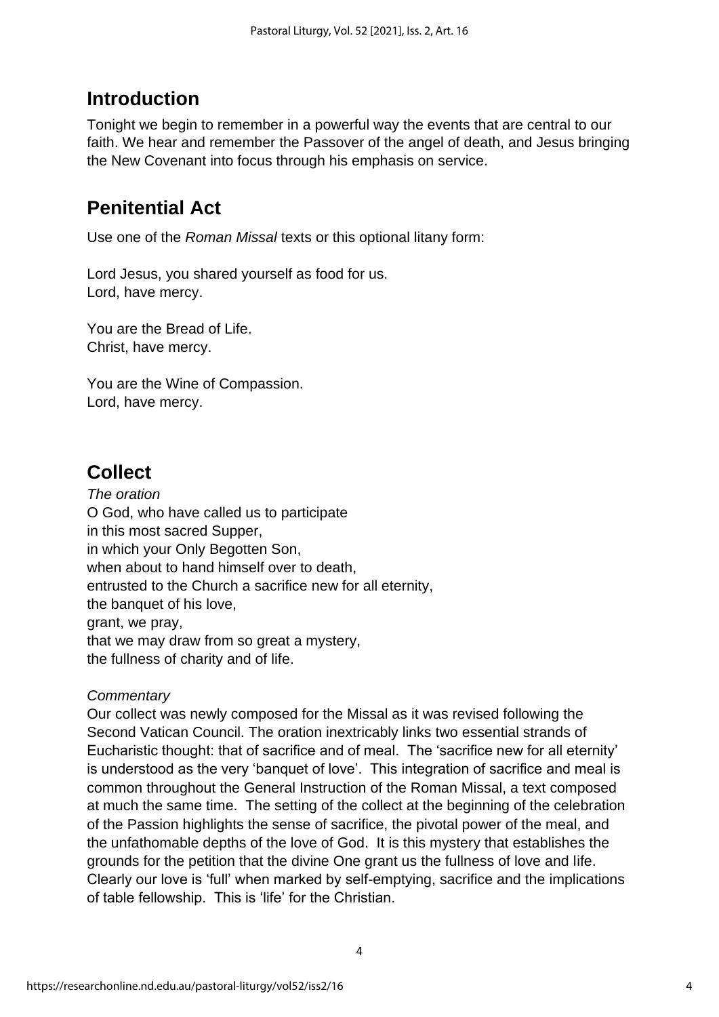### **Introduction**

Tonight we begin to remember in a powerful way the events that are central to our faith. We hear and remember the Passover of the angel of death, and Jesus bringing the New Covenant into focus through his emphasis on service.

### **Penitential Act**

Use one of the *Roman Missal* texts or this optional litany form:

Lord Jesus, you shared yourself as food for us. Lord, have mercy.

You are the Bread of Life. Christ, have mercy.

You are the Wine of Compassion. Lord, have mercy.

### **Collect**

*The oration* O God, who have called us to participate in this most sacred Supper, in which your Only Begotten Son, when about to hand himself over to death, entrusted to the Church a sacrifice new for all eternity, the banquet of his love, grant, we pray, that we may draw from so great a mystery, the fullness of charity and of life.

### *Commentary*

Our collect was newly composed for the Missal as it was revised following the Second Vatican Council. The oration inextricably links two essential strands of Eucharistic thought: that of sacrifice and of meal. The 'sacrifice new for all eternity' is understood as the very 'banquet of love'. This integration of sacrifice and meal is common throughout the General Instruction of the Roman Missal, a text composed at much the same time. The setting of the collect at the beginning of the celebration of the Passion highlights the sense of sacrifice, the pivotal power of the meal, and the unfathomable depths of the love of God. It is this mystery that establishes the grounds for the petition that the divine One grant us the fullness of love and life. Clearly our love is 'full' when marked by self-emptying, sacrifice and the implications of table fellowship. This is 'life' for the Christian.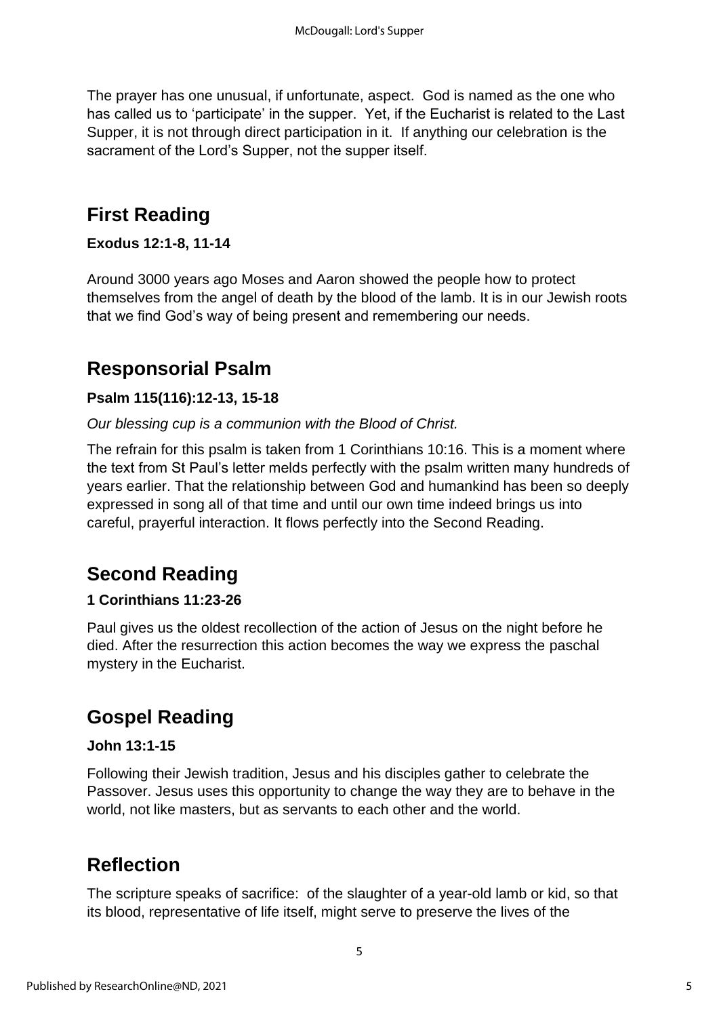The prayer has one unusual, if unfortunate, aspect. God is named as the one who has called us to 'participate' in the supper. Yet, if the Eucharist is related to the Last Supper, it is not through direct participation in it. If anything our celebration is the sacrament of the Lord's Supper, not the supper itself.

### **First Reading**

### **Exodus 12:1-8, 11-14**

Around 3000 years ago Moses and Aaron showed the people how to protect themselves from the angel of death by the blood of the lamb. It is in our Jewish roots that we find God's way of being present and remembering our needs.

### **Responsorial Psalm**

### **Psalm 115(116):12-13, 15-18**

*Our blessing cup is a communion with the Blood of Christ.*

The refrain for this psalm is taken from 1 Corinthians 10:16. This is a moment where the text from St Paul's letter melds perfectly with the psalm written many hundreds of years earlier. That the relationship between God and humankind has been so deeply expressed in song all of that time and until our own time indeed brings us into careful, prayerful interaction. It flows perfectly into the Second Reading.

### **Second Reading**

### **1 Corinthians 11:23-26**

Paul gives us the oldest recollection of the action of Jesus on the night before he died. After the resurrection this action becomes the way we express the paschal mystery in the Eucharist.

### **Gospel Reading**

### **John 13:1-15**

Following their Jewish tradition, Jesus and his disciples gather to celebrate the Passover. Jesus uses this opportunity to change the way they are to behave in the world, not like masters, but as servants to each other and the world.

### **Reflection**

The scripture speaks of sacrifice: of the slaughter of a year-old lamb or kid, so that its blood, representative of life itself, might serve to preserve the lives of the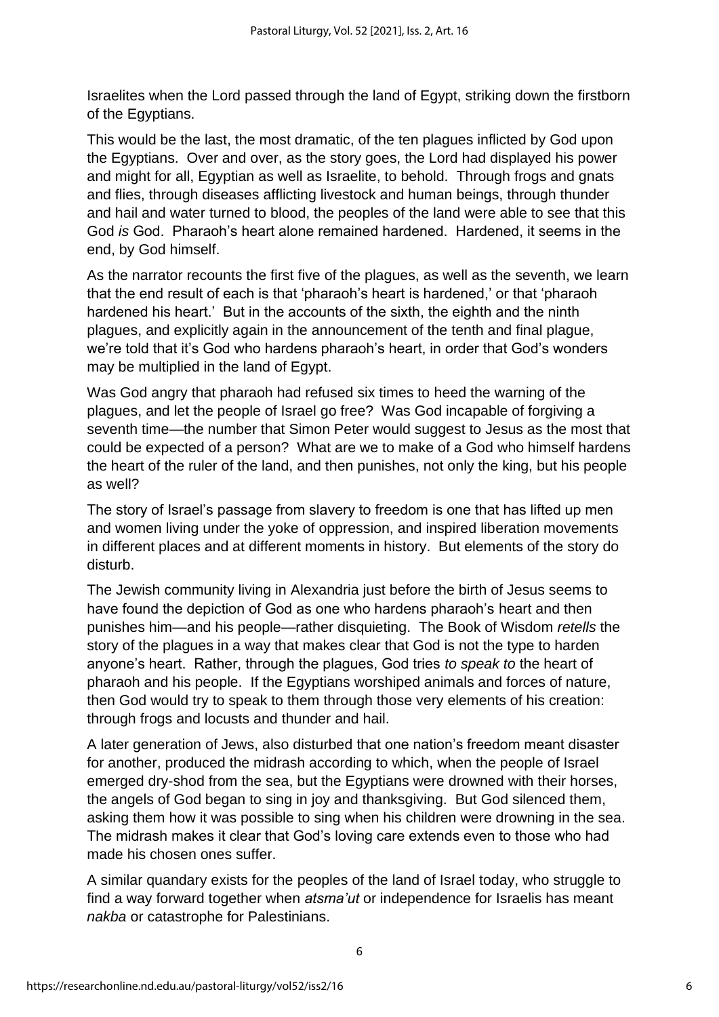Israelites when the Lord passed through the land of Egypt, striking down the firstborn of the Egyptians.

This would be the last, the most dramatic, of the ten plagues inflicted by God upon the Egyptians. Over and over, as the story goes, the Lord had displayed his power and might for all, Egyptian as well as Israelite, to behold. Through frogs and gnats and flies, through diseases afflicting livestock and human beings, through thunder and hail and water turned to blood, the peoples of the land were able to see that this God *is* God. Pharaoh's heart alone remained hardened. Hardened, it seems in the end, by God himself.

As the narrator recounts the first five of the plagues, as well as the seventh, we learn that the end result of each is that 'pharaoh's heart is hardened,' or that 'pharaoh hardened his heart.' But in the accounts of the sixth, the eighth and the ninth plagues, and explicitly again in the announcement of the tenth and final plague, we're told that it's God who hardens pharaoh's heart, in order that God's wonders may be multiplied in the land of Egypt.

Was God angry that pharaoh had refused six times to heed the warning of the plagues, and let the people of Israel go free? Was God incapable of forgiving a seventh time—the number that Simon Peter would suggest to Jesus as the most that could be expected of a person? What are we to make of a God who himself hardens the heart of the ruler of the land, and then punishes, not only the king, but his people as well?

The story of Israel's passage from slavery to freedom is one that has lifted up men and women living under the yoke of oppression, and inspired liberation movements in different places and at different moments in history. But elements of the story do disturb.

The Jewish community living in Alexandria just before the birth of Jesus seems to have found the depiction of God as one who hardens pharaoh's heart and then punishes him—and his people—rather disquieting. The Book of Wisdom *retells* the story of the plagues in a way that makes clear that God is not the type to harden anyone's heart. Rather, through the plagues, God tries *to speak to* the heart of pharaoh and his people. If the Egyptians worshiped animals and forces of nature, then God would try to speak to them through those very elements of his creation: through frogs and locusts and thunder and hail.

A later generation of Jews, also disturbed that one nation's freedom meant disaster for another, produced the midrash according to which, when the people of Israel emerged dry-shod from the sea, but the Egyptians were drowned with their horses, the angels of God began to sing in joy and thanksgiving. But God silenced them, asking them how it was possible to sing when his children were drowning in the sea. The midrash makes it clear that God's loving care extends even to those who had made his chosen ones suffer.

A similar quandary exists for the peoples of the land of Israel today, who struggle to find a way forward together when *atsma'ut* or independence for Israelis has meant *nakba* or catastrophe for Palestinians.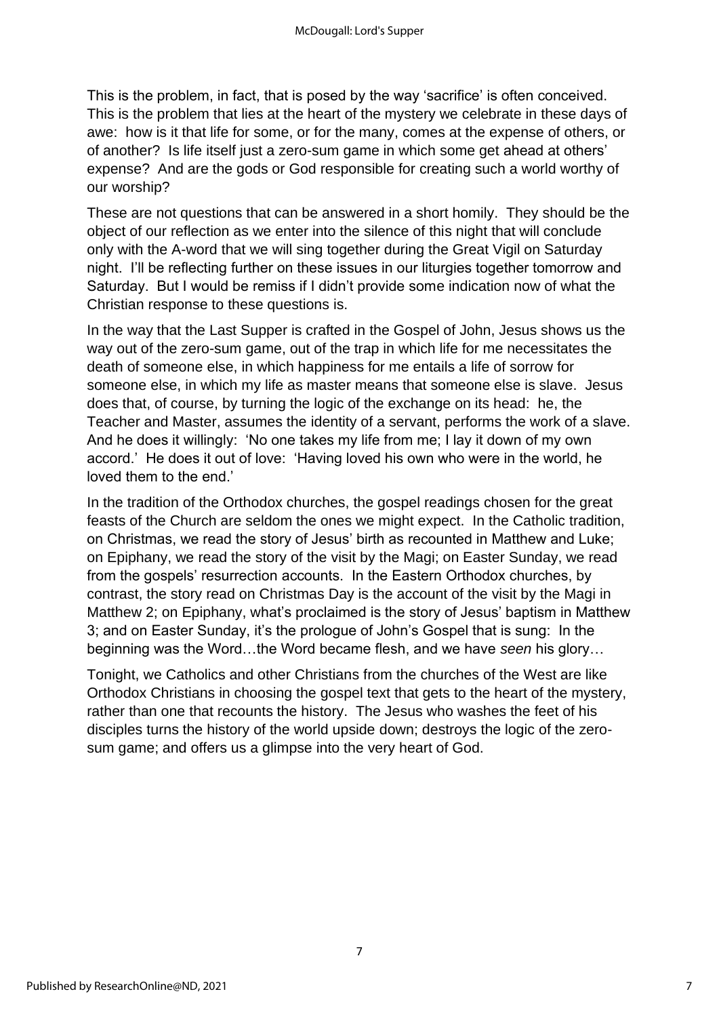This is the problem, in fact, that is posed by the way 'sacrifice' is often conceived. This is the problem that lies at the heart of the mystery we celebrate in these days of awe: how is it that life for some, or for the many, comes at the expense of others, or of another? Is life itself just a zero-sum game in which some get ahead at others' expense? And are the gods or God responsible for creating such a world worthy of our worship?

These are not questions that can be answered in a short homily. They should be the object of our reflection as we enter into the silence of this night that will conclude only with the A-word that we will sing together during the Great Vigil on Saturday night. I'll be reflecting further on these issues in our liturgies together tomorrow and Saturday. But I would be remiss if I didn't provide some indication now of what the Christian response to these questions is.

In the way that the Last Supper is crafted in the Gospel of John, Jesus shows us the way out of the zero-sum game, out of the trap in which life for me necessitates the death of someone else, in which happiness for me entails a life of sorrow for someone else, in which my life as master means that someone else is slave. Jesus does that, of course, by turning the logic of the exchange on its head: he, the Teacher and Master, assumes the identity of a servant, performs the work of a slave. And he does it willingly: 'No one takes my life from me; I lay it down of my own accord.' He does it out of love: 'Having loved his own who were in the world, he loved them to the end.'

In the tradition of the Orthodox churches, the gospel readings chosen for the great feasts of the Church are seldom the ones we might expect. In the Catholic tradition, on Christmas, we read the story of Jesus' birth as recounted in Matthew and Luke; on Epiphany, we read the story of the visit by the Magi; on Easter Sunday, we read from the gospels' resurrection accounts. In the Eastern Orthodox churches, by contrast, the story read on Christmas Day is the account of the visit by the Magi in Matthew 2; on Epiphany, what's proclaimed is the story of Jesus' baptism in Matthew 3; and on Easter Sunday, it's the prologue of John's Gospel that is sung: In the beginning was the Word…the Word became flesh, and we have *seen* his glory…

Tonight, we Catholics and other Christians from the churches of the West are like Orthodox Christians in choosing the gospel text that gets to the heart of the mystery, rather than one that recounts the history. The Jesus who washes the feet of his disciples turns the history of the world upside down; destroys the logic of the zerosum game; and offers us a glimpse into the very heart of God.

7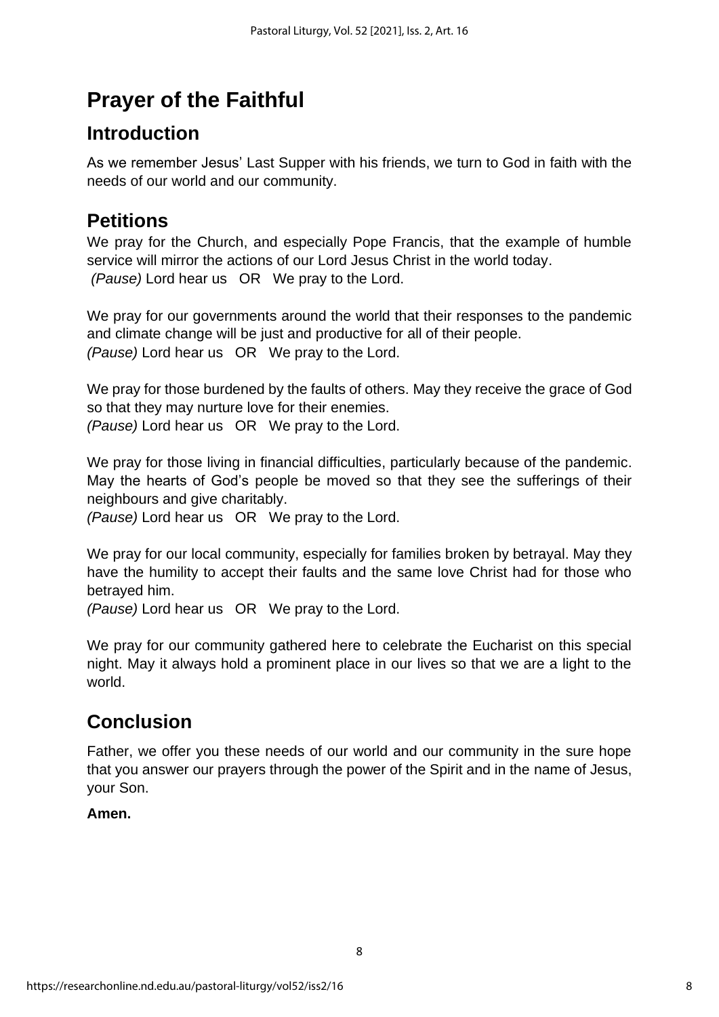## **Prayer of the Faithful**

### **Introduction**

As we remember Jesus' Last Supper with his friends, we turn to God in faith with the needs of our world and our community.

### **Petitions**

We pray for the Church, and especially Pope Francis, that the example of humble service will mirror the actions of our Lord Jesus Christ in the world today. *(Pause)* Lord hear us OR We pray to the Lord.

We pray for our governments around the world that their responses to the pandemic and climate change will be just and productive for all of their people. *(Pause)* Lord hear us OR We pray to the Lord.

We pray for those burdened by the faults of others. May they receive the grace of God so that they may nurture love for their enemies.

*(Pause)* Lord hear us OR We pray to the Lord.

We pray for those living in financial difficulties, particularly because of the pandemic. May the hearts of God's people be moved so that they see the sufferings of their neighbours and give charitably.

*(Pause)* Lord hear us OR We pray to the Lord.

We pray for our local community, especially for families broken by betrayal. May they have the humility to accept their faults and the same love Christ had for those who betrayed him.

*(Pause)* Lord hear us OR We pray to the Lord.

We pray for our community gathered here to celebrate the Eucharist on this special night. May it always hold a prominent place in our lives so that we are a light to the world.

### **Conclusion**

Father, we offer you these needs of our world and our community in the sure hope that you answer our prayers through the power of the Spirit and in the name of Jesus, your Son.

### **Amen.**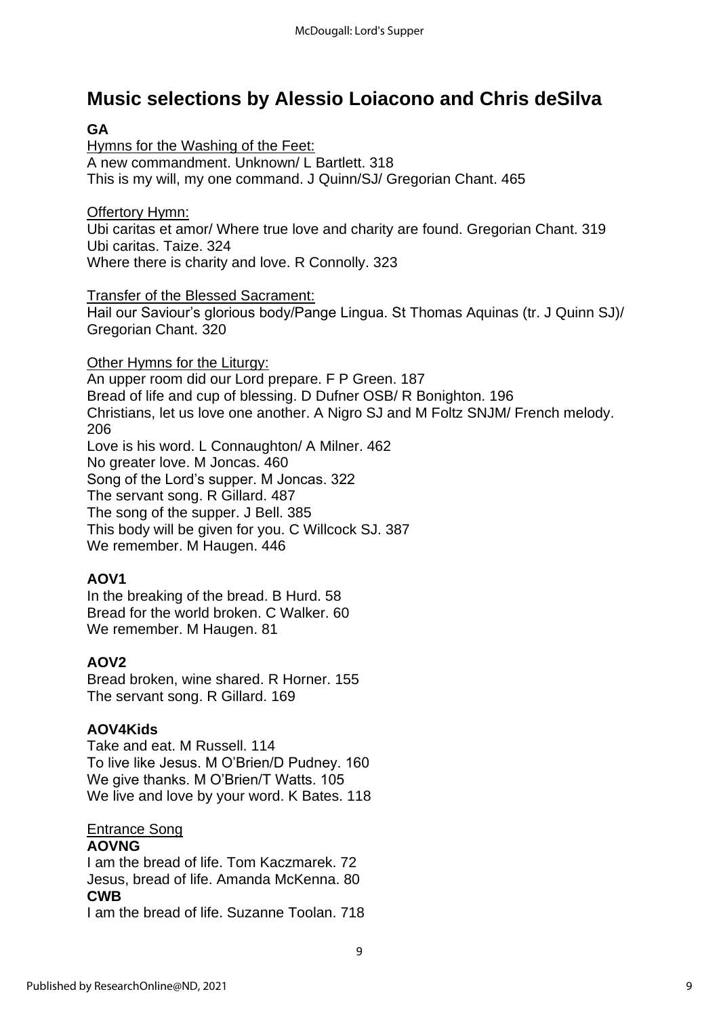### **Music selections by Alessio Loiacono and Chris deSilva**

### **GA**

Hymns for the Washing of the Feet: A new commandment. Unknown/ L Bartlett. 318 This is my will, my one command. J Quinn/SJ/ Gregorian Chant. 465

Offertory Hymn:

Ubi caritas et amor/ Where true love and charity are found. Gregorian Chant. 319 Ubi caritas. Taize. 324 Where there is charity and love. R Connolly. 323

Transfer of the Blessed Sacrament:

Hail our Saviour's glorious body/Pange Lingua. St Thomas Aquinas (tr. J Quinn SJ)/ Gregorian Chant. 320

Other Hymns for the Liturgy: An upper room did our Lord prepare. F P Green. 187 Bread of life and cup of blessing. D Dufner OSB/ R Bonighton. 196 Christians, let us love one another. A Nigro SJ and M Foltz SNJM/ French melody. 206 Love is his word. L Connaughton/ A Milner. 462 No greater love. M Joncas. 460 Song of the Lord's supper. M Joncas. 322 The servant song. R Gillard. 487 The song of the supper. J Bell. 385 This body will be given for you. C Willcock SJ. 387 We remember. M Haugen. 446

### **AOV1**

In the breaking of the bread. B Hurd. 58 Bread for the world broken. C Walker. 60 We remember. M Haugen. 81

### **AOV2**

Bread broken, wine shared. R Horner. 155 The servant song. R Gillard. 169

### **AOV4Kids**

Take and eat. M Russell. 114 To live like Jesus. M O'Brien/D Pudney. 160 We give thanks. M O'Brien/T Watts. 105 We live and love by your word. K Bates. 118

### Entrance Song

#### **AOVNG**

I am the bread of life. Tom Kaczmarek. 72 Jesus, bread of life. Amanda McKenna. 80 **CWB**

I am the bread of life. Suzanne Toolan. 718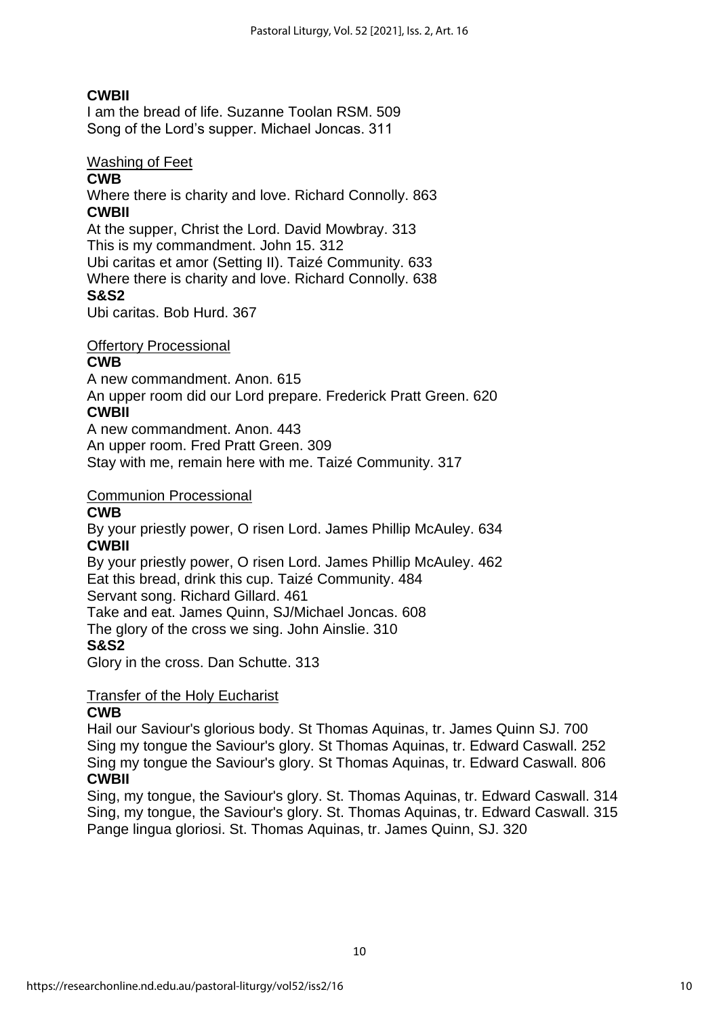### **CWBII**

I am the bread of life. Suzanne Toolan RSM. 509 Song of the Lord's supper. Michael Joncas. 311

#### Washing of Feet

#### **CWB**

Where there is charity and love. Richard Connolly. 863 **CWBII**

At the supper, Christ the Lord. David Mowbray. 313 This is my commandment. John 15. 312

Ubi caritas et amor (Setting II). Taizé Community. 633 Where there is charity and love. Richard Connolly. 638 **S&S2**

Ubi caritas. Bob Hurd. 367

#### Offertory Processional

#### **CWB**

A new commandment. Anon. 615

An upper room did our Lord prepare. Frederick Pratt Green. 620

#### **CWBII**

A new commandment. Anon. 443 An upper room. Fred Pratt Green. 309 Stay with me, remain here with me. Taizé Community. 317

#### Communion Processional

#### **CWB**

By your priestly power, O risen Lord. James Phillip McAuley. 634 **CWBII**

By your priestly power, O risen Lord. James Phillip McAuley. 462 Eat this bread, drink this cup. Taizé Community. 484 Servant song. Richard Gillard. 461

Take and eat. James Quinn, SJ/Michael Joncas. 608

The glory of the cross we sing. John Ainslie. 310

#### **S&S2**

Glory in the cross. Dan Schutte. 313

#### Transfer of the Holy Eucharist

#### **CWB**

Hail our Saviour's glorious body. St Thomas Aquinas, tr. James Quinn SJ. 700 Sing my tongue the Saviour's glory. St Thomas Aquinas, tr. Edward Caswall. 252 Sing my tongue the Saviour's glory. St Thomas Aquinas, tr. Edward Caswall. 806 **CWBII**

Sing, my tongue, the Saviour's glory. St. Thomas Aquinas, tr. Edward Caswall. 314 Sing, my tongue, the Saviour's glory. St. Thomas Aquinas, tr. Edward Caswall. 315 Pange lingua gloriosi. St. Thomas Aquinas, tr. James Quinn, SJ. 320